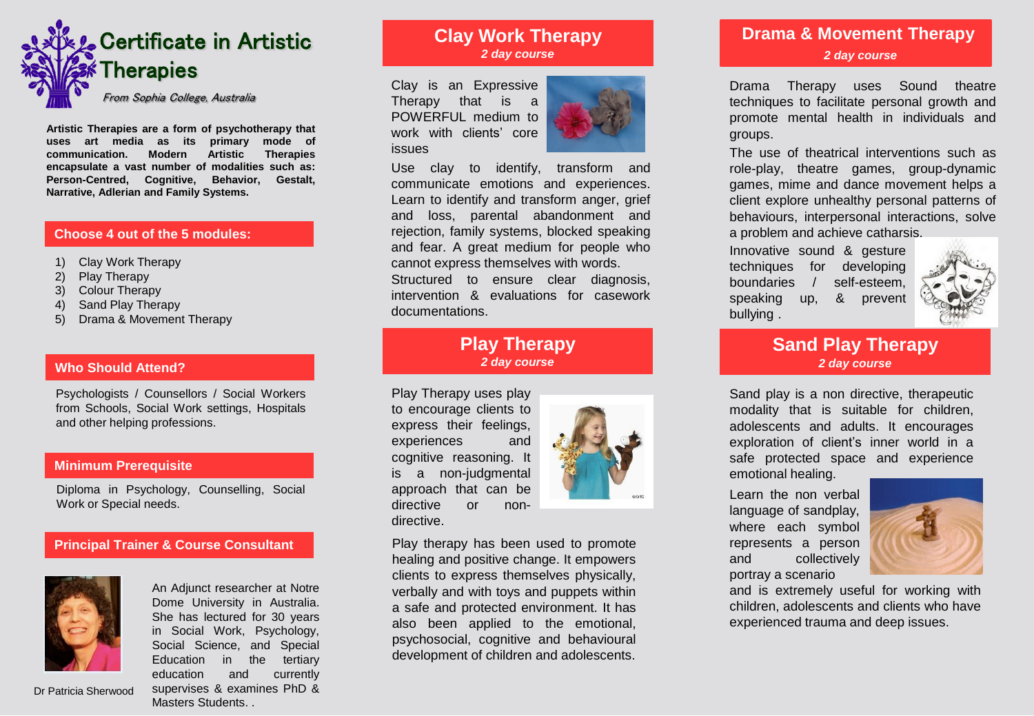

**Artistic Therapies are a form of psychotherapy that uses art media as its primary mode of communication. Modern Artistic Therapies encapsulate a vast number of modalities such as: Person-Centred, Cognitive, Behavior, Gestalt, Narrative, Adlerian and Family Systems.**

### **Choose 4 out of the 5 modules:**

- 1) Clay Work Therapy
- 2) Play Therapy
- 3) Colour Therapy
- 4) Sand Play Therapy
- 5) Drama & Movement Therapy

### **Who Should Attend?**

Psychologists / Counsellors / Social Workers from Schools, Social Work settings, Hospitals and other helping professions.

### **Minimum Prerequisite**

Diploma in Psychology, Counselling, Social Work or Special needs.

### **Principal Trainer & Course Consultant**



Dr Patricia Sherwood

An Adjunct researcher at Notre Dome University in Australia. She has lectured for 30 years in Social Work, Psychology, Social Science, and Special Education in the tertiary education and currently supervises & examines PhD & Masters Students. .

# **Clay Work Therapy** *2 day course*

Clay is an Expressive Therapy that is a POWERFUL medium to work with clients' core issues



Use clay to identify, transform and communicate emotions and experiences. Learn to identify and transform anger, grief and loss, parental abandonment and rejection, family systems, blocked speaking and fear. A great medium for people who cannot express themselves with words.

Structured to ensure clear diagnosis, intervention & evaluations for casework documentations.

# **Play Therapy** *2 day course*

Play Therapy uses play to encourage clients to express their feelings, experiences and cognitive reasoning. It is a non-judgmental approach that can be directive or nondirective.



Play therapy has been used to promote healing and positive change. It empowers clients to express themselves physically, verbally and with toys and puppets within a safe and protected environment. It has also been applied to the emotional, psychosocial, cognitive and behavioural development of children and adolescents.

# **Drama & Movement Therapy** *2 day course*

Drama Therapy uses Sound theatre techniques to facilitate personal growth and promote mental health in individuals and groups.

The use of theatrical interventions such as role-play, theatre games, group-dynamic games, mime and dance movement helps a client explore unhealthy personal patterns of behaviours, interpersonal interactions, solve a problem and achieve catharsis.

Innovative sound & gesture techniques for developing boundaries / self-esteem, speaking up, & prevent bullying .



### **Sand Play Therapy** *2 day course*

Sand play is a non directive, therapeutic modality that is suitable for children, adolescents and adults. It encourages exploration of client's inner world in a safe protected space and experience emotional healing.

Learn the non verbal language of sandplay, where each symbol represents a person and collectively portray a scenario



and is extremely useful for working with children, adolescents and clients who have experienced trauma and deep issues.